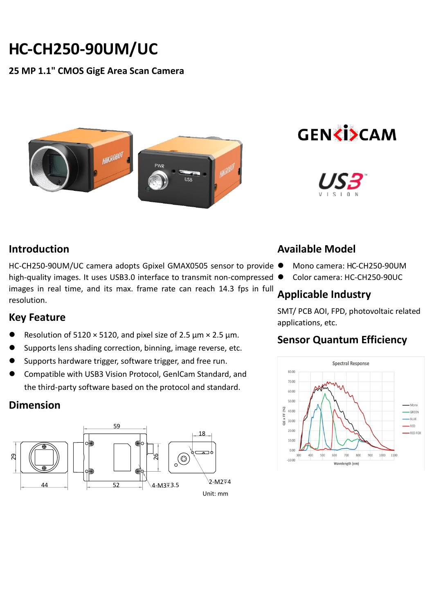# **HC-CH250-90UM/UC**

#### **25 MP 1.1" CMOS GigE Area Scan Camera**







#### **Introduction**

HC-CH250-90UM/UC camera adopts Gpixel GMAX0505 sensor to provide ● high-quality images. It uses USB3.0 interface to transmit non-compressed  $\bullet$ images in real time, and its max. frame rate can reach 14.3 fps in full resolution.

#### **Key Feature**

- Resolution of 5120  $\times$  5120, and pixel size of 2.5 µm  $\times$  2.5 µm.
- Supports lens shading correction, binning, image reverse, etc.
- Supports hardware trigger, software trigger, and free run.
- Compatible with USB3 Vision Protocol, GenlCam Standard, and the third-party software based on the protocol and standard.

## **Dimension**



#### **Available Model**

- Mono camera: HC-CH250-90UM
- Color camera: HC-CH250-90UC

#### **Applicable Industry**

SMT/ PCB AOI, FPD, photovoltaic related applications, etc.

## **Sensor Quantum Efficiency**